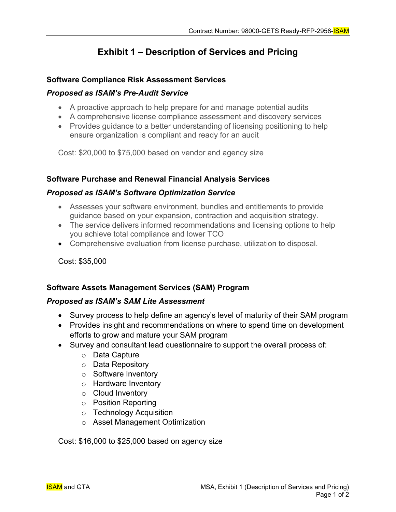# **Exhibit 1 – Description of Services and Pricing**

#### **Software Compliance Risk Assessment Services**

#### *Proposed as ISAM's Pre-Audit Service*

- A proactive approach to help prepare for and manage potential audits
- A comprehensive license compliance assessment and discovery services
- Provides guidance to a better understanding of licensing positioning to help ensure organization is compliant and ready for an audit

Cost: \$20,000 to \$75,000 based on vendor and agency size

#### **Software Purchase and Renewal Financial Analysis Services**

#### *Proposed as ISAM's Software Optimization Service*

- Assesses your software environment, bundles and entitlements to provide guidance based on your expansion, contraction and acquisition strategy.
- The service delivers informed recommendations and licensing options to help you achieve total compliance and lower TCO
- Comprehensive evaluation from license purchase, utilization to disposal.

Cost: \$35,000

## **Software Assets Management Services (SAM) Program**

#### *Proposed as ISAM's SAM Lite Assessment*

- Survey process to help define an agency's level of maturity of their SAM program
- Provides insight and recommendations on where to spend time on development efforts to grow and mature your SAM program
- Survey and consultant lead questionnaire to support the overall process of:
	- o Data Capture
	- o Data Repository
	- o Software Inventory
	- o Hardware Inventory
	- o Cloud Inventory
	- o Position Reporting
	- o Technology Acquisition
	- o Asset Management Optimization

Cost: \$16,000 to \$25,000 based on agency size